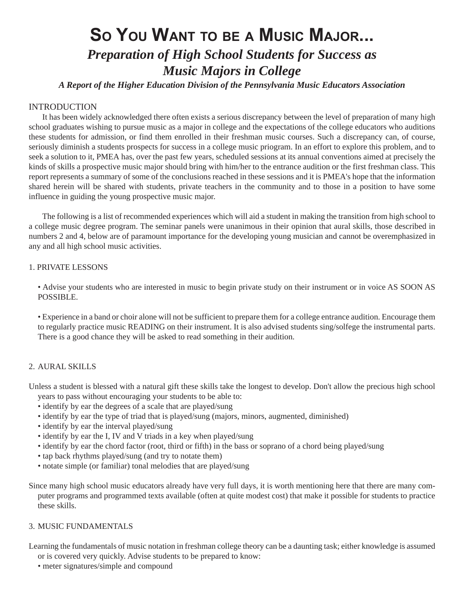# **SO YOU WANT TO BE A MUSIC MAJOR...** *Preparation of High School Students for Success as Music Majors in College*

*A Report of the Higher Education Division of the Pennsylvania Music Educators Association*

### INTRODUCTION

It has been widely acknowledged there often exists a serious discrepancy between the level of preparation of many high school graduates wishing to pursue music as a major in college and the expectations of the college educators who auditions these students for admission, or find them enrolled in their freshman music courses. Such a discrepancy can, of course, seriously diminish a students prospects for success in a college music priogram. In an effort to explore this problem, and to seek a solution to it, PMEA has, over the past few years, scheduled sessions at its annual conventions aimed at precisely the kinds of skills a prospective music major should bring with him/her to the entrance audition or the first freshman class. This report represents a summary of some of the conclusions reached in these sessions and it is PMEA's hope that the information shared herein will be shared with students, private teachers in the community and to those in a position to have some influence in guiding the young prospective music major.

The following is a list of recommended experiences which will aid a student in making the transition from high school to a college music degree program. The seminar panels were unanimous in their opinion that aural skills, those described in numbers 2 and 4, below are of paramount importance for the developing young musician and cannot be overemphasized in any and all high school music activities.

#### 1. PRIVATE LESSONS

• Advise your students who are interested in music to begin private study on their instrument or in voice AS SOON AS POSSIBLE.

• Experience in a band or choir alone will not be sufficient to prepare them for a college entrance audition. Encourage them to regularly practice music READING on their instrument. It is also advised students sing/solfege the instrumental parts. There is a good chance they will be asked to read something in their audition.

## 2. AURAL SKILLS

Unless a student is blessed with a natural gift these skills take the longest to develop. Don't allow the precious high school years to pass without encouraging your students to be able to:

- identify by ear the degrees of a scale that are played/sung
- identify by ear the type of triad that is played/sung (majors, minors, augmented, diminished)
- identify by ear the interval played/sung
- identify by ear the I, IV and V triads in a key when played/sung
- identify by ear the chord factor (root, third or fifth) in the bass or soprano of a chord being played/sung
- tap back rhythms played/sung (and try to notate them)
- notate simple (or familiar) tonal melodies that are played/sung

Since many high school music educators already have very full days, it is worth mentioning here that there are many computer programs and programmed texts available (often at quite modest cost) that make it possible for students to practice these skills.

#### 3. MUSIC FUNDAMENTALS

Learning the fundamentals of music notation in freshman college theory can be a daunting task; either knowledge is assumed or is covered very quickly. Advise students to be prepared to know:

• meter signatures/simple and compound